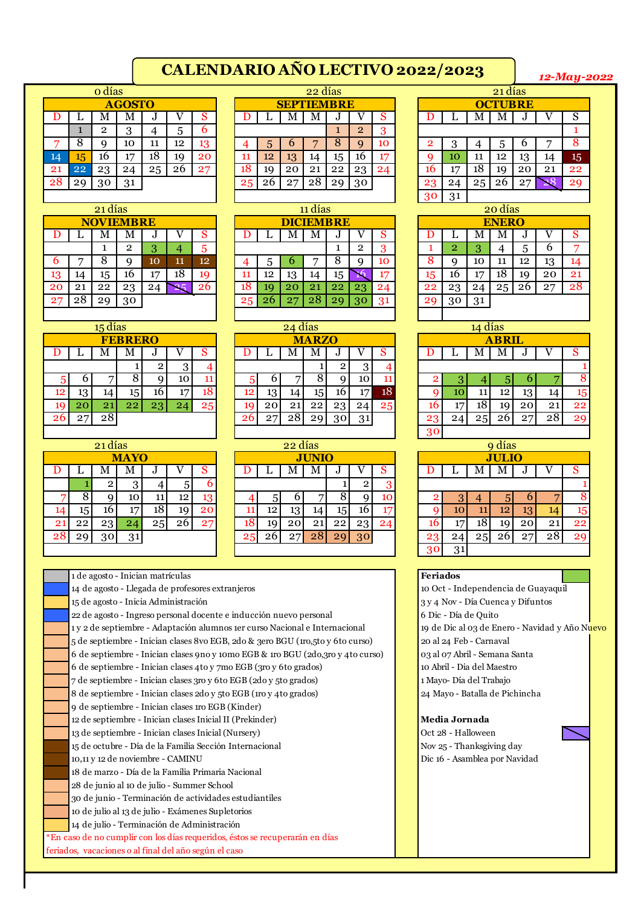## **CALENDARIO AÑO LECTIVO 2022/2023**

*12-May-2022*

|         |        | o días |               |    |    |             |    |    |                   | 22 días |    |                |              |                      |    |     | 21 días        |    |    |                |
|---------|--------|--------|---------------|----|----|-------------|----|----|-------------------|---------|----|----------------|--------------|----------------------|----|-----|----------------|----|----|----------------|
|         |        |        | <b>AGOSTO</b> |    |    |             |    |    | <b>SEPTIEMBRE</b> |         |    |                |              |                      |    |     | <b>OCTUBRE</b> |    |    |                |
|         |        | М      | М             |    |    | U.          |    |    | M                 | IМ      |    |                | $\mathbf{C}$ |                      |    | IV. | IМ             |    |    | S              |
|         |        | 2      |               |    | b. | $\mathbf b$ |    |    |                   |         |    | $\overline{2}$ | ാ            |                      |    |     |                |    |    |                |
|         | ດ<br>Õ |        | 10            | 11 | 12 | 13          |    |    | O                 |         |    | Q              | 10           |                      |    |     |                |    |    | 8              |
| $_{14}$ | 45     | 16     | 17            | 18 | 19 | 20          | 11 | 12 | 13                | 14      | 15 | 16             | 17           |                      | 10 | 11  | 12             | 13 | 14 | 15             |
| 21      | 22     | 23     | 24            | 25 | 26 | 27          | 18 | 19 | 20                | 21      | 22 | 23             | 24           | 16                   | 17 | 18  | 19             | 20 | 21 | 2 <sub>2</sub> |
| 28      | 20     | 30     | 31            |    |    |             | 25 |    | 27                | 28      | 20 | 30             |              | 23                   | വ  | 25  | 26             |    |    | 29             |
|         |        |        |               |    |    |             |    |    |                   |         |    |                |              | $\sim$ $\sim$ $\sim$ | -- |     |                |    |    |                |

|    |              | 21 días          |    |    |        |    |  |    |    |                  | 11 días   |    |    |                 |  |    |    |    | 20 días      |    |    |    |
|----|--------------|------------------|----|----|--------|----|--|----|----|------------------|-----------|----|----|-----------------|--|----|----|----|--------------|----|----|----|
|    |              | <b>NOVIEMBRE</b> |    |    |        |    |  |    |    | <b>DICIEMBRE</b> |           |    |    |                 |  |    |    |    | <b>ENERO</b> |    |    |    |
|    |              | М                | М  |    |        |    |  |    |    | M                | M         |    |    | $\mathbf C$     |  |    |    | M  | М            |    |    | S  |
|    |              |                  | ົ  |    |        | b  |  |    |    |                  |           |    | ົ  | റ               |  |    | ົ  |    |              |    | b  | ⇁  |
|    | ┍            |                  |    | 10 | 11<br> | 12 |  |    |    | o                |           |    |    | 10              |  |    |    | 10 | п            | 12 | 13 | 14 |
| 13 | $\mathbf{A}$ | 15               | 16 | 17 | 18     | 19 |  | 11 | 12 | 13               | 14        | 15 |    | 15              |  | 15 | 16 | 17 | 18           | 19 | 20 | 21 |
| 20 | 21           | 22               | 23 | 24 |        | 26 |  | 18 | 10 | 20               | $\bf{21}$ | 22 | 23 | 24              |  | 22 | 23 | 24 | 25           | 26 | 27 | 28 |
| 27 | 28           | 2 <sub>q</sub>   | 30 |    |        |    |  | 25 |    | 27               | 28        |    | 30 | $\overline{31}$ |  | 20 | 30 | 31 |              |    |    |    |
|    |              |                  |    |    |        |    |  |    |    |                  |           |    |    |                 |  |    |    |    |              |    |    |    |

|    |                   | 15 días         |    |    |    |    |  |  |  |  |  |  |  |  |  |
|----|-------------------|-----------------|----|----|----|----|--|--|--|--|--|--|--|--|--|
|    | <b>FEBRERO</b>    |                 |    |    |    |    |  |  |  |  |  |  |  |  |  |
| D  | S<br>L<br>M       |                 |    |    |    |    |  |  |  |  |  |  |  |  |  |
|    | $\mathbf{2}$<br>3 |                 |    |    |    |    |  |  |  |  |  |  |  |  |  |
| 5  | 6                 |                 | 8  | 9  | 10 | 11 |  |  |  |  |  |  |  |  |  |
| 12 | 13                | 14              | 15 | 16 | 17 | 18 |  |  |  |  |  |  |  |  |  |
| 19 | 20                | 21              | 22 | 23 | 24 | 25 |  |  |  |  |  |  |  |  |  |
| 26 | $2^{\sim}$        | $2\overline{8}$ |    |    |    |    |  |  |  |  |  |  |  |  |  |

|                 |                | 21 ulds |      |                 |    |    |
|-----------------|----------------|---------|------|-----------------|----|----|
|                 |                |         | MAYO |                 |    |    |
| D               | L              | М       | М    | J               |    | S  |
|                 | 1              | 2       | 3    |                 | 5  | 6  |
|                 | $\overline{8}$ | 9       | 10   | 11              | 12 | 13 |
| 14              | 15             | 16      | 17   | $\overline{18}$ | 19 | 20 |
| 21              | 22             | 23      | 24   | 25              | 26 | 27 |
| $\overline{28}$ | 29             | 30      | 31   |                 |    |    |

|                | o días |               |    |    |    |  |    |                   | 22 días       |                |    |    |    |         |    | 21 días        |    |    |                |
|----------------|--------|---------------|----|----|----|--|----|-------------------|---------------|----------------|----|----|----|---------|----|----------------|----|----|----------------|
|                |        | <b>AGOSTO</b> |    |    |    |  |    | <b>SEPTIEMBRE</b> |               |                |    |    |    |         |    | <b>OCTUBRE</b> |    |    |                |
|                | М      | M             | ., |    |    |  |    | Μ                 | ΙVΙ           | $\cdot$        |    | S  |    |         | М  | M              |    |    |                |
|                | റ      |               |    |    | b  |  |    |                   |               |                | റ  | 3  |    |         |    |                |    |    |                |
| Q              | a      | 10            |    | 12 | 13 |  | 5  | b                 |               |                |    | 10 | റ  | ŋ<br>., |    | ה.             | O  |    |                |
| 5              | 16     | −             | 18 | 19 | 20 |  | 12 | 13                | $\mathbf{14}$ | 15             | 16 | 17 |    | 10      | 11 | 12             | 13 | 14 | 1              |
| 2 <sup>2</sup> | 23     | 24            | 25 |    | 27 |  | 19 | 20                | 21            | 22             | 23 | 24 | 16 | 17      | 18 | 19             | 20 | 21 | 2:             |
| q              | 30     | 31            |    |    |    |  | 26 | 27                | 28            | 2 <sub>q</sub> | 30 |    | 23 | 24      | 25 |                |    |    | 2 <sub>0</sub> |
|                |        |               |    |    |    |  |    |                   |               |                |    |    |    |         |    |                |    |    |                |

|   | 21 días          |    |               |    |     |    |    |       | 11 días          |    |             |    |    |              |    | 20 días      |           |    |                |
|---|------------------|----|---------------|----|-----|----|----|-------|------------------|----|-------------|----|----|--------------|----|--------------|-----------|----|----------------|
|   | <b>NOVIEMBRE</b> |    |               |    |     |    |    |       | <b>DICIEMBRE</b> |    |             |    |    |              |    | <b>ENERO</b> |           |    |                |
|   | M                | M  | .,            |    | S   |    |    | M     | M                | υ  |             | S  |    |              | M  | IV.          | $\bullet$ |    | Q              |
|   |                  | ົ  | $\Omega$<br>5 | 4  | 5   |    |    |       |                  |    | $\mathbf 2$ | 3  |    | $\mathbf{2}$ | 3  |              | h         | b  | r.             |
|   | 8                |    | 10            | 11 | 12  | 4  | 5  | n     | ┍                | 8  | a           | 10 | ŏ  | q            | 10 | 11           | 12        | 13 | 14             |
|   | 15               | 16 | 17            | 18 | 19  | 11 | 12 | 13    | 14               | 15 |             | 17 | 15 | 16           | 17 | 18           | 19        | 20 | $\overline{2}$ |
|   | 22               | 23 | 24            |    | -26 | 18 | 19 | 20    | 21               | 22 | 23          | 24 | 22 | 23           | 24 | 25           | 26        | 27 | $2^{\circ}$    |
| Ŕ | 20               | 30 |               |    |     | 25 | 26 | $2^r$ |                  | 29 | 30          | 31 | 29 | 30           | 31 |              |           |    |                |
|   |                  |    |               |    |     |    |    |       |                  |    |             |    |    |              |    |              |           |    |                |

| 15 días         |                |    |    |                 |    |    | 24 días |              |             |    |    |                |    | 14 días |              |  |
|-----------------|----------------|----|----|-----------------|----|----|---------|--------------|-------------|----|----|----------------|----|---------|--------------|--|
|                 | <b>FEBRERO</b> |    |    |                 |    |    |         | <b>MARZO</b> |             |    |    |                |    |         | <b>ABRIL</b> |  |
| М               | M              | υ  |    | o               |    |    | M       | Μ            | υ           |    | S  |                |    | M       | м            |  |
|                 |                | 2  |    |                 |    |    |         |              | $\mathbf 2$ |    |    |                |    |         |              |  |
| $\overline{ }$  |                |    | 10 | 11              |    |    |         |              |             | 10 |    |                |    | 4       | 5            |  |
| 14              | 15             | 16 | 17 | 18              | 12 | 13 | 14      | 15           | 16          |    | 18 |                | 10 | 11      | 12           |  |
| 21              | 22             | 23 |    | 25 <sub>1</sub> |    | 20 | 21      | 22           | 23          | 24 | 25 |                | די | 18      | 19           |  |
| $\overline{28}$ |                |    |    |                 | 26 | 27 | 28      | 29           | 30          | 31 |    | ററ             | 24 | 25      | 26           |  |
|                 |                |    |    |                 |    |    |         |              |             |    |    | 0 <sup>n</sup> |    |         |              |  |

| 21 días        |             |     |    |     |    |    | 22 días |              |                |    |    |    |    |                 | 9 días      |  |
|----------------|-------------|-----|----|-----|----|----|---------|--------------|----------------|----|----|----|----|-----------------|-------------|--|
|                | <b>MAYO</b> |     |    |     |    |    |         | <b>JUNIO</b> |                |    |    |    |    |                 | <b>JLIC</b> |  |
| M              | M           | .,  |    | ົ   |    |    | M       | M            | υ              |    | o  |    |    | IV.             | м           |  |
| $\overline{2}$ | 3           |     | ۰. | 6   |    |    |         |              |                |    | റ  |    |    |                 |             |  |
| 9              | 10          | 11  | 12 | 13  |    |    | n       |              |                |    | 10 |    | 3  | 4               | 5           |  |
| 16             | 17          | 18. | 19 | 20. |    | 12 | 13      | 14.          | 15             | 10 | 17 |    | 10 | 11              | 12          |  |
| 23             | 24          | 25  |    | 27  |    | 19 | 20      | 21           | 22             | 23 | 24 |    | דו | $\overline{18}$ | 19          |  |
| 30             | 31          |     |    |     | 25 | 26 | 27      | 28           | 2 <sub>q</sub> | 30 |    | 29 | 24 | 25              | 26          |  |
|                |             |     |    |     |    |    |         |              |                |    |    | 20 | 21 |                 |             |  |

|                |             |    | 21 días         |              |    |    |  |  |  |  |  |  |  |  |  |
|----------------|-------------|----|-----------------|--------------|----|----|--|--|--|--|--|--|--|--|--|
|                |             |    | <b>OCTUBRE</b>  |              |    |    |  |  |  |  |  |  |  |  |  |
| D              | L           | M  |                 | $\mathbf{J}$ |    | S  |  |  |  |  |  |  |  |  |  |
|                | 1<br>8      |    |                 |              |    |    |  |  |  |  |  |  |  |  |  |
| $\overline{2}$ | 6<br>3<br>5 |    |                 |              |    |    |  |  |  |  |  |  |  |  |  |
| g              | 10          | 11 | 12              | 13           | 14 | 15 |  |  |  |  |  |  |  |  |  |
| 16             | 17          | 18 | 19              | 20           | 21 | 22 |  |  |  |  |  |  |  |  |  |
| 23             | 24          | 25 | $2\overline{6}$ | 27           |    | 29 |  |  |  |  |  |  |  |  |  |
| 3 <sub>c</sub> | 31          |    |                 |              |    |    |  |  |  |  |  |  |  |  |  |

|    |                |                            | 20 días      |    |    |                 |  |  |  |  |  |  |  |  |  |
|----|----------------|----------------------------|--------------|----|----|-----------------|--|--|--|--|--|--|--|--|--|
|    |                |                            | <b>ENERO</b> |    |    |                 |  |  |  |  |  |  |  |  |  |
| D  |                | М                          | М            | J  |    | S               |  |  |  |  |  |  |  |  |  |
| 1  | $\overline{2}$ | 6<br>3<br>5                |              |    |    |                 |  |  |  |  |  |  |  |  |  |
| 8  | 9              | 12<br>10<br>13<br>11<br>14 |              |    |    |                 |  |  |  |  |  |  |  |  |  |
| 15 | 16             | 17                         | 18           | 19 | 20 | 21              |  |  |  |  |  |  |  |  |  |
| 22 | 23             | 24                         | 25           | 26 | 27 | $2\overline{8}$ |  |  |  |  |  |  |  |  |  |
| 29 | 30             | 31                         |              |    |    |                 |  |  |  |  |  |  |  |  |  |
|    |                |                            |              |    |    |                 |  |  |  |  |  |  |  |  |  |

|    |    | 15 días        |                |    |    |    |    |    | 24 días |              |                 |     |    |                |    | 14 días |              |                 |    |    |
|----|----|----------------|----------------|----|----|----|----|----|---------|--------------|-----------------|-----|----|----------------|----|---------|--------------|-----------------|----|----|
|    |    |                | <b>FEBRERO</b> |    |    |    |    |    |         | <b>MARZO</b> |                 |     |    |                |    |         | <b>ABRIL</b> |                 |    |    |
| ,, |    | M              | M              |    |    |    |    |    | IМ      | M            | υ               |     |    |                |    | IМ      | M            | v               |    |    |
|    |    |                |                |    | ັ  |    |    |    |         |              | $\overline{2}$  |     |    |                |    |         |              |                 |    |    |
|    | n  | −              |                |    | 10 |    |    | n  | −       |              |                 | 10  | 11 |                |    |         |              | O               |    | 8  |
| 12 | 13 | 14             | 15'            | 16 | 17 | 18 | 12 | 13 | 14      | 15 I         | 16!             | 17  | 18 |                | 10 | ᆚ       | 12           | 13              | 14 | 15 |
| 19 | 20 | 2 <sub>1</sub> | 22             | 23 | 24 | 25 |    | 20 | $^{21}$ | 22           | 23 <sub>1</sub> | 24  | 25 |                | 17 | 18      | 19           | 20 <sub>1</sub> | 21 | 22 |
| 26 | 27 | 28             |                |    |    |    |    | 27 | 28      | 29           | 301             | -21 |    | 2 <sup>c</sup> | 94 | 25      | 26           | 27              | 28 | 20 |
|    |    |                |                |    |    |    |    |    |         |              |                 |     |    | 30             |    |         |              |                 |    |    |

|                 |    | 21 días |                 |                 |    |    |    |    | 22 días |              |    |    |             |                 |    |     | 9 días          |    |    |    |
|-----------------|----|---------|-----------------|-----------------|----|----|----|----|---------|--------------|----|----|-------------|-----------------|----|-----|-----------------|----|----|----|
|                 |    |         | <b>MAYO</b>     |                 |    |    |    |    |         | <b>JUNIO</b> |    |    |             |                 |    |     | <b>JULIO</b>    |    |    |    |
| I)              |    | М       | М               |                 |    | ā  |    |    | M       | M            | υ  |    | $\mathbf C$ |                 |    | M   | M               | υ  |    | S  |
|                 |    |         |                 |                 | 5  |    |    |    |         |              |    |    | Ő           |                 |    |     |                 |    |    |    |
|                 |    |         | 10 <sub>1</sub> | 11              | 12 | 13 |    |    |         |              |    |    | 10          |                 | 3  | 4   | h.              | O  |    | 8  |
|                 | 15 | 16      | 15              | 18              | 19 | 20 |    | 12 | 13      | 14           | 15 | 16 | 17          |                 | 10 | 11  | 12 <sup>2</sup> | 13 | 14 | 15 |
| 21              | 22 | 23      | 24              | 25 <sub>l</sub> | 26 | 27 |    | 19 | 20      | 21           | 22 | 23 | 24          |                 | 17 | 18  | 19              | 20 | 21 | 22 |
| $\overline{28}$ | 29 | 30      | 31              |                 |    |    | 25 | 26 | 27      | 28           | 29 | 30 |             | 23              | 24 | 251 | 26 <sub>1</sub> | 27 | 28 | 29 |
|                 |    |         |                 |                 |    |    |    |    |         |              |    |    |             | 30 <sub>o</sub> | 31 |     |                 |    |    |    |

## 1 de agosto - Inician matrículas **Feriados Feriados Feriados Feriados**

14 de agosto - Llegada de profesores extranjeros 10 Oct - Independencia de Guayaquil 15 de agosto - Inicia Administración  $\begin{array}{c} 3 \times 4 \text{ Nov - } \text{Día Cuenca y Difuntos} \end{array}$ 

22 de agosto - Ingreso personal docente e inducción nuevo personal **6 Dicembra - Os Pres** de Quito 1 y 2 de septiembre - Adaptación alumnos 1er curso Nacional e Internacional 19 de Dic al 03 de Enero - Navidad y Año Nuevo de septiembre - Inician clases 8vo EGB, 2do & 3ero BGU (1ro,5to y 6to curso) 20 al 24 Feb - Carnaval de septiembre - Inician clases 9no y 10mo EGB & 1ro BGU (2do,3ro y 4to curso) 03 al 07 Abril - Semana Santa de septiembre - Inician clases 4to y 7mo EGB (3ro y 6to grados) 10 Abril - Dia del Maestro de septiembre - Inician clases 3ro y 6to EGB (2do y 5to grados) 1 Mayo- Día del Trabajo de septiembre - Inician clases 2do y 5to EGB (1ro y 4to grados) 24 Mayo - Batalla de Pichincha de septiembre - Inician clases 1ro EGB (Kinder) de septiembre - Inician clases Inicial II (Prekinder) **Media Jornada** 13 de septiembre - Inician clases Inicial (Nursery) (Cet 28 - Halloween 15 de octubre - Día de la Familia Sección Internacional Nov 25 - Thanksgiving day 10,11 y 12 de noviembre - CAMINU Dic 16 - Asamblea por Navidad de marzo - Día de la Familia Primaria Nacional de junio al 10 de julio - Summer School de junio - Terminación de actividades estudiantiles de julio al 13 de julio - Exámenes Supletorios de julio - Terminación de Administración \*En caso de no cumplir con los días requeridos, éstos se recuperarán en días feriados, vacaciones o al final del año según el caso